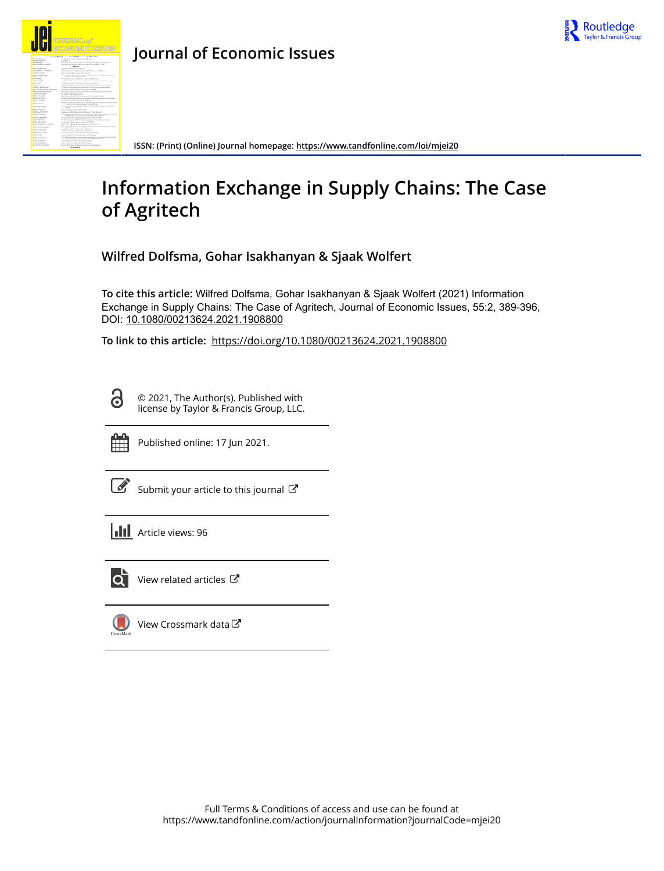

**ISSN: (Print) (Online) Journal homepage:<https://www.tandfonline.com/loi/mjei20>**

# **Information Exchange in Supply Chains: The Case of Agritech**

**Wilfred Dolfsma, Gohar Isakhanyan & Sjaak Wolfert**

**To cite this article:** Wilfred Dolfsma, Gohar Isakhanyan & Sjaak Wolfert (2021) Information Exchange in Supply Chains: The Case of Agritech, Journal of Economic Issues, 55:2, 389-396, DOI: [10.1080/00213624.2021.1908800](https://www.tandfonline.com/action/showCitFormats?doi=10.1080/00213624.2021.1908800)

**To link to this article:** <https://doi.org/10.1080/00213624.2021.1908800>

© 2021, The Author(s). Published with license by Taylor & Francis Group, LLC.



Ō

Published online: 17 Jun 2021.

[Submit your article to this journal](https://www.tandfonline.com/action/authorSubmission?journalCode=mjei20&show=instructions)  $\mathbb{Z}$ 

**III** Article views: 96



 $\overrightarrow{Q}$  [View related articles](https://www.tandfonline.com/doi/mlt/10.1080/00213624.2021.1908800)  $\overrightarrow{C}$ 

 $\bigcup$ [View Crossmark data](http://crossmark.crossref.org/dialog/?doi=10.1080/00213624.2021.1908800&domain=pdf&date_stamp=2021-06-17)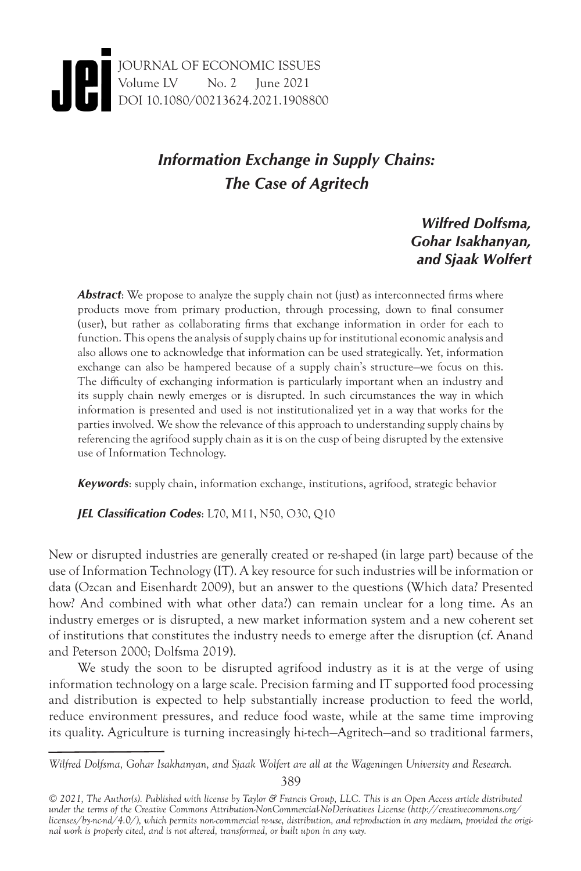## *Information Exchange in Supply Chains: The Case of Agritech*

### *Wilfred Dolfsma, Gohar Isakhanyan, and Sjaak Wolfert*

**Abstract:** We propose to analyze the supply chain not (just) as interconnected firms where products move from primary production, through processing, down to final consumer (user), but rather as collaborating firms that exchange information in order for each to function. This opens the analysis of supply chains up for institutional economic analysis and also allows one to acknowledge that information can be used strategically. Yet, information exchange can also be hampered because of a supply chain's structure—we focus on this. The difficulty of exchanging information is particularly important when an industry and its supply chain newly emerges or is disrupted. In such circumstances the way in which information is presented and used is not institutionalized yet in a way that works for the parties involved. We show the relevance of this approach to understanding supply chains by referencing the agrifood supply chain as it is on the cusp of being disrupted by the extensive use of Information Technology.

*Keywords*: supply chain, information exchange, institutions, agrifood, strategic behavior

*JEL Classification Codes*: L70, M11, N50, O30, Q10

New or disrupted industries are generally created or re-shaped (in large part) because of the use of Information Technology (IT). A key resource for such industries will be information or data (Ozcan and Eisenhardt 2009), but an answer to the questions (Which data? Presented how? And combined with what other data?) can remain unclear for a long time. As an industry emerges or is disrupted, a new market information system and a new coherent set of institutions that constitutes the industry needs to emerge after the disruption (cf. Anand and Peterson 2000; Dolfsma 2019).

We study the soon to be disrupted agrifood industry as it is at the verge of using information technology on a large scale. Precision farming and IT supported food processing and distribution is expected to help substantially increase production to feed the world, reduce environment pressures, and reduce food waste, while at the same time improving its quality. Agriculture is turning increasingly hi-tech—Agritech—and so traditional farmers,

389

*Wilfred Dolfsma, Gohar Isakhanyan, and Sjaak Wolfert are all at the Wageningen University and Research.*

*<sup>© 2021,</sup> The Author(s). Published with license by Taylor & Francis Group, LLC. This is an Open Access article distributed under the terms of the Creative Commons Attribution-NonCommercial-NoDerivatives License (http://creativecommons.org/ licenses/by-nc-nd/4.0/), which permits non-commercial re-use, distribution, and reproduction in any medium, provided the original work is properly cited, and is not altered, transformed, or built upon in any way.*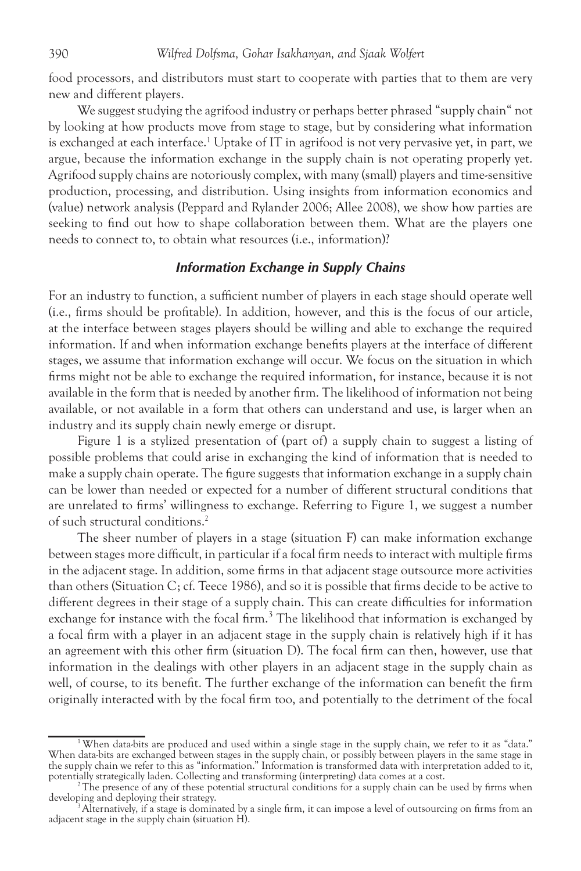food processors, and distributors must start to cooperate with parties that to them are very new and different players.

We suggest studying the agrifood industry or perhaps better phrased "supply chain" not by looking at how products move from stage to stage, but by considering what information is exchanged at each interface.<sup>1</sup> Uptake of IT in agrifood is not very pervasive yet, in part, we argue, because the information exchange in the supply chain is not operating properly yet. Agrifood supply chains are notoriously complex, with many (small) players and time-sensitive production, processing, and distribution. Using insights from information economics and (value) network analysis (Peppard and Rylander 2006; Allee 2008), we show how parties are seeking to find out how to shape collaboration between them. What are the players one needs to connect to, to obtain what resources (i.e., information)?

#### *Information Exchange in Supply Chains*

For an industry to function, a sufficient number of players in each stage should operate well (i.e., firms should be profitable). In addition, however, and this is the focus of our article, at the interface between stages players should be willing and able to exchange the required information. If and when information exchange benefits players at the interface of different stages, we assume that information exchange will occur. We focus on the situation in which firms might not be able to exchange the required information, for instance, because it is not available in the form that is needed by another firm. The likelihood of information not being available, or not available in a form that others can understand and use, is larger when an industry and its supply chain newly emerge or disrupt.

Figure 1 is a stylized presentation of (part of) a supply chain to suggest a listing of possible problems that could arise in exchanging the kind of information that is needed to make a supply chain operate. The figure suggests that information exchange in a supply chain can be lower than needed or expected for a number of different structural conditions that are unrelated to firms' willingness to exchange. Referring to Figure 1, we suggest a number of such structural conditions.2

The sheer number of players in a stage (situation F) can make information exchange between stages more difficult, in particular if a focal firm needs to interact with multiple firms in the adjacent stage. In addition, some firms in that adjacent stage outsource more activities than others (Situation C; cf. Teece 1986), and so it is possible that firms decide to be active to different degrees in their stage of a supply chain. This can create difficulties for information exchange for instance with the focal firm.<sup>3</sup> The likelihood that information is exchanged by a focal firm with a player in an adjacent stage in the supply chain is relatively high if it has an agreement with this other firm (situation D). The focal firm can then, however, use that information in the dealings with other players in an adjacent stage in the supply chain as well, of course, to its benefit. The further exchange of the information can benefit the firm originally interacted with by the focal firm too, and potentially to the detriment of the focal

<sup>&</sup>lt;sup>1</sup> When data-bits are produced and used within a single stage in the supply chain, we refer to it as "data." When data-bits are exchanged between stages in the supply chain, or possibly between players in the same stage in the supply chain we refer to this as "information." Information is transformed data with interpretation added to it, potentially strategically laden. Collecting and transforming (interpreting) data comes at a cost.

 $p^2$ The presence of any of these potential structural conditions for a supply chain can be used by firms when developing and deploying their strategy.

<sup>&</sup>lt;sup>3</sup> Alternatively, if a stage is dominated by a single firm, it can impose a level of outsourcing on firms from an adjacent stage in the supply chain (situation H).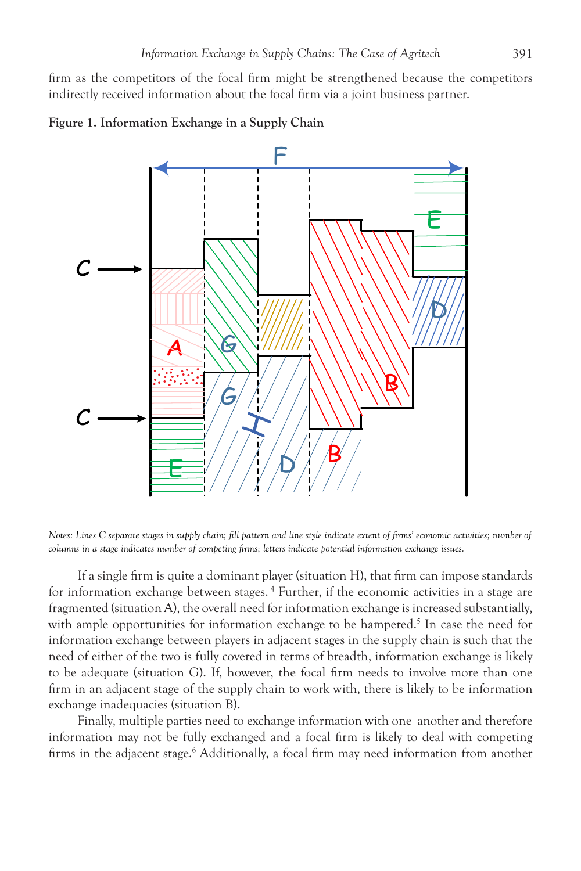firm as the competitors of the focal firm might be strengthened because the competitors indirectly received information about the focal firm via a joint business partner.





*Notes: Lines C separate stages in supply chain; fill pattern and line style indicate extent of firms' economic activities; number of columns in a stage indicates number of competing firms; letters indicate potential information exchange issues.*

If a single firm is quite a dominant player (situation H), that firm can impose standards for information exchange between stages. 4 Further, if the economic activities in a stage are fragmented (situation A), the overall need for information exchange is increased substantially, with ample opportunities for information exchange to be hampered.<sup>5</sup> In case the need for information exchange between players in adjacent stages in the supply chain is such that the need of either of the two is fully covered in terms of breadth, information exchange is likely to be adequate (situation G). If, however, the focal firm needs to involve more than one firm in an adjacent stage of the supply chain to work with, there is likely to be information exchange inadequacies (situation B).

Finally, multiple parties need to exchange information with one another and therefore information may not be fully exchanged and a focal firm is likely to deal with competing firms in the adjacent stage.<sup>6</sup> Additionally, a focal firm may need information from another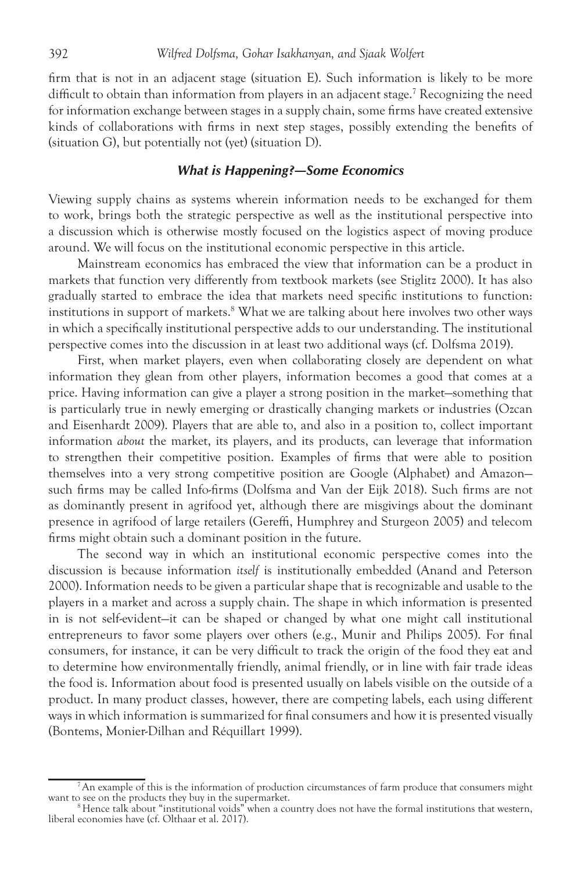firm that is not in an adjacent stage (situation E). Such information is likely to be more difficult to obtain than information from players in an adjacent stage.<sup>7</sup> Recognizing the need for information exchange between stages in a supply chain, some firms have created extensive kinds of collaborations with firms in next step stages, possibly extending the benefits of (situation G), but potentially not (yet) (situation D).

#### *What is Happening?—Some Economics*

Viewing supply chains as systems wherein information needs to be exchanged for them to work, brings both the strategic perspective as well as the institutional perspective into a discussion which is otherwise mostly focused on the logistics aspect of moving produce around. We will focus on the institutional economic perspective in this article.

Mainstream economics has embraced the view that information can be a product in markets that function very differently from textbook markets (see Stiglitz 2000). It has also gradually started to embrace the idea that markets need specific institutions to function: institutions in support of markets.<sup>8</sup> What we are talking about here involves two other ways in which a specifically institutional perspective adds to our understanding. The institutional perspective comes into the discussion in at least two additional ways (cf. Dolfsma 2019).

First, when market players, even when collaborating closely are dependent on what information they glean from other players, information becomes a good that comes at a price. Having information can give a player a strong position in the market—something that is particularly true in newly emerging or drastically changing markets or industries (Ozcan and Eisenhardt 2009). Players that are able to, and also in a position to, collect important information *about* the market, its players, and its products, can leverage that information to strengthen their competitive position. Examples of firms that were able to position themselves into a very strong competitive position are Google (Alphabet) and Amazon such firms may be called Info-firms (Dolfsma and Van der Eijk 2018). Such firms are not as dominantly present in agrifood yet, although there are misgivings about the dominant presence in agrifood of large retailers (Gereffi, Humphrey and Sturgeon 2005) and telecom firms might obtain such a dominant position in the future.

The second way in which an institutional economic perspective comes into the discussion is because information *itself* is institutionally embedded (Anand and Peterson 2000). Information needs to be given a particular shape that is recognizable and usable to the players in a market and across a supply chain. The shape in which information is presented in is not self-evident—it can be shaped or changed by what one might call institutional entrepreneurs to favor some players over others (e.g., Munir and Philips 2005). For final consumers, for instance, it can be very difficult to track the origin of the food they eat and to determine how environmentally friendly, animal friendly, or in line with fair trade ideas the food is. Information about food is presented usually on labels visible on the outside of a product. In many product classes, however, there are competing labels, each using different ways in which information is summarized for final consumers and how it is presented visually (Bontems, Monier-Dilhan and Réquillart 1999).

<sup>&</sup>lt;sup>7</sup> An example of this is the information of production circumstances of farm produce that consumers might want to see on the products they buy in the supermarket.

 $8$  Hence talk about "institutional voids" when a country does not have the formal institutions that western, liberal economies have (cf. Olthaar et al. 2017).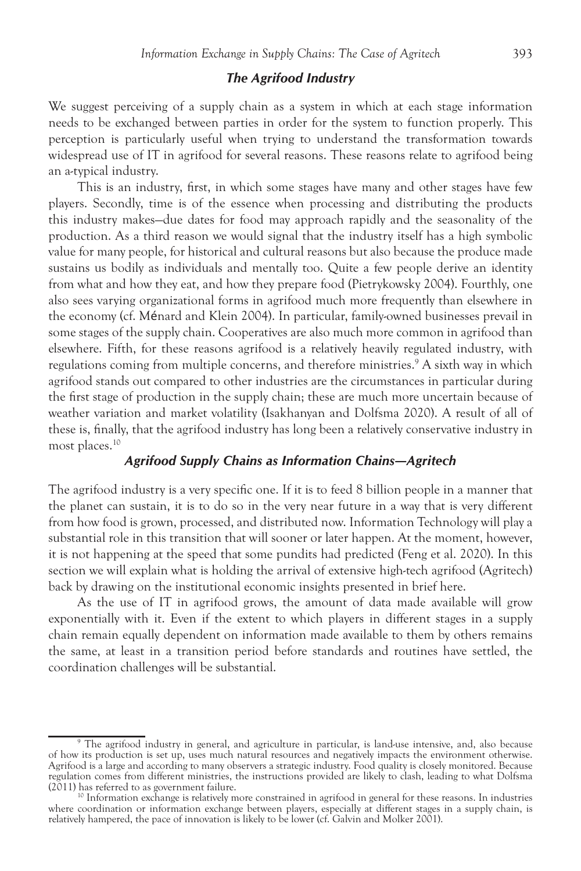#### *The Agrifood Industry*

We suggest perceiving of a supply chain as a system in which at each stage information needs to be exchanged between parties in order for the system to function properly. This perception is particularly useful when trying to understand the transformation towards widespread use of IT in agrifood for several reasons. These reasons relate to agrifood being an a-typical industry.

This is an industry, first, in which some stages have many and other stages have few players. Secondly, time is of the essence when processing and distributing the products this industry makes—due dates for food may approach rapidly and the seasonality of the production. As a third reason we would signal that the industry itself has a high symbolic value for many people, for historical and cultural reasons but also because the produce made sustains us bodily as individuals and mentally too. Quite a few people derive an identity from what and how they eat, and how they prepare food (Pietrykowsky 2004). Fourthly, one also sees varying organizational forms in agrifood much more frequently than elsewhere in the economy (cf. Ménard and Klein 2004). In particular, family-owned businesses prevail in some stages of the supply chain. Cooperatives are also much more common in agrifood than elsewhere. Fifth, for these reasons agrifood is a relatively heavily regulated industry, with regulations coming from multiple concerns, and therefore ministries.<sup>9</sup> A sixth way in which agrifood stands out compared to other industries are the circumstances in particular during the first stage of production in the supply chain; these are much more uncertain because of weather variation and market volatility (Isakhanyan and Dolfsma 2020). A result of all of these is, finally, that the agrifood industry has long been a relatively conservative industry in most places.10

#### *Agrifood Supply Chains as Information Chains—Agritech*

The agrifood industry is a very specific one. If it is to feed 8 billion people in a manner that the planet can sustain, it is to do so in the very near future in a way that is very different from how food is grown, processed, and distributed now. Information Technology will play a substantial role in this transition that will sooner or later happen. At the moment, however, it is not happening at the speed that some pundits had predicted (Feng et al. 2020). In this section we will explain what is holding the arrival of extensive high-tech agrifood (Agritech) back by drawing on the institutional economic insights presented in brief here.

As the use of IT in agrifood grows, the amount of data made available will grow exponentially with it. Even if the extent to which players in different stages in a supply chain remain equally dependent on information made available to them by others remains the same, at least in a transition period before standards and routines have settled, the coordination challenges will be substantial.

<sup>9</sup> The agrifood industry in general, and agriculture in particular, is land-use intensive, and, also because of how its production is set up, uses much natural resources and negatively impacts the environment otherwise. Agrifood is a large and according to many observers a strategic industry. Food quality is closely monitored. Because regulation comes from different ministries, the instructions provided are likely to clash, leading to what Dolfsma

 $10$  Information exchange is relatively more constrained in agrifood in general for these reasons. In industries where coordination or information exchange between players, especially at different stages in a supply chain, is relatively hampered, the pace of innovation is likely to be lower (cf. Galvin and Molker 2001).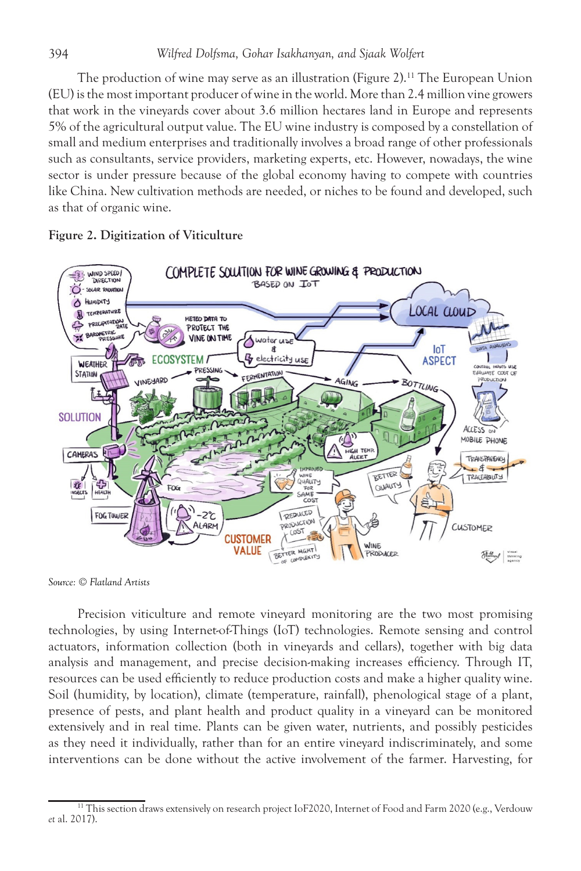The production of wine may serve as an illustration (Figure 2).<sup>11</sup> The European Union (EU) is the most important producer of wine in the world. More than 2.4 million vine growers that work in the vineyards cover about 3.6 million hectares land in Europe and represents 5% of the agricultural output value. The EU wine industry is composed by a constellation of small and medium enterprises and traditionally involves a broad range of other professionals such as consultants, service providers, marketing experts, etc. However, nowadays, the wine sector is under pressure because of the global economy having to compete with countries like China. New cultivation methods are needed, or niches to be found and developed, such as that of organic wine.



#### Figure 2. Digitization of Viticulture

*Source: © Flatland Artists*

Precision viticulture and remote vineyard monitoring are the two most promising technologies, by using Internet-of-Things (IoT) technologies. Remote sensing and control actuators, information collection (both in vineyards and cellars), together with big data analysis and management, and precise decision-making increases efficiency. Through IT, resources can be used efficiently to reduce production costs and make a higher quality wine. Soil (humidity, by location), climate (temperature, rainfall), phenological stage of a plant, presence of pests, and plant health and product quality in a vineyard can be monitored extensively and in real time. Plants can be given water, nutrients, and possibly pesticides as they need it individually, rather than for an entire vineyard indiscriminately, and some interventions can be done without the active involvement of the farmer. Harvesting, for

<sup>&</sup>lt;sup>11</sup> This section draws extensively on research project IoF2020, Internet of Food and Farm 2020 (e.g., Verdouw *et* al. 2017).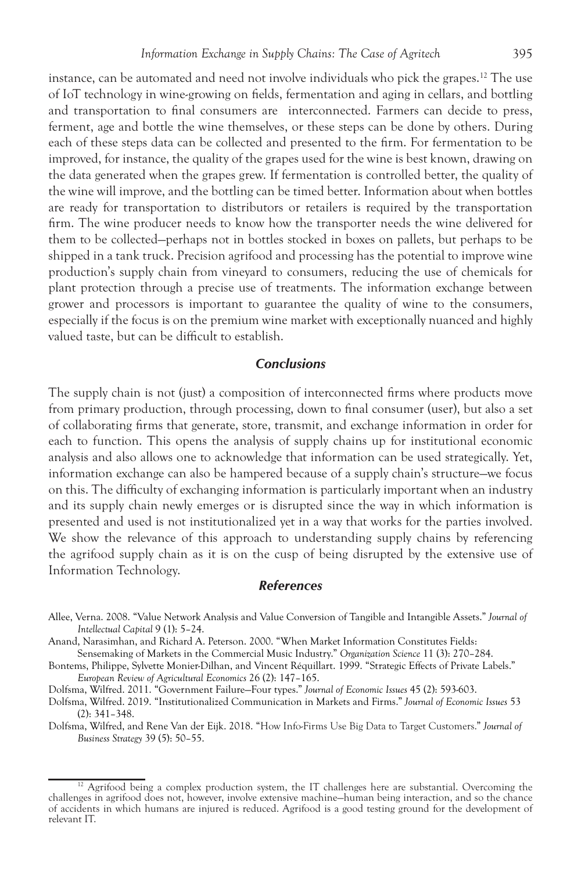instance, can be automated and need not involve individuals who pick the grapes.<sup>12</sup> The use of IoT technology in wine-growing on fields, fermentation and aging in cellars, and bottling and transportation to final consumers are interconnected. Farmers can decide to press, ferment, age and bottle the wine themselves, or these steps can be done by others. During each of these steps data can be collected and presented to the firm. For fermentation to be improved, for instance, the quality of the grapes used for the wine is best known, drawing on the data generated when the grapes grew. If fermentation is controlled better, the quality of the wine will improve, and the bottling can be timed better. Information about when bottles are ready for transportation to distributors or retailers is required by the transportation firm. The wine producer needs to know how the transporter needs the wine delivered for them to be collected—perhaps not in bottles stocked in boxes on pallets, but perhaps to be shipped in a tank truck. Precision agrifood and processing has the potential to improve wine production's supply chain from vineyard to consumers, reducing the use of chemicals for plant protection through a precise use of treatments. The information exchange between grower and processors is important to guarantee the quality of wine to the consumers, especially if the focus is on the premium wine market with exceptionally nuanced and highly valued taste, but can be difficult to establish.

#### *Conclusions*

The supply chain is not (just) a composition of interconnected firms where products move from primary production, through processing, down to final consumer (user), but also a set of collaborating firms that generate, store, transmit, and exchange information in order for each to function. This opens the analysis of supply chains up for institutional economic analysis and also allows one to acknowledge that information can be used strategically. Yet, information exchange can also be hampered because of a supply chain's structure—we focus on this. The difficulty of exchanging information is particularly important when an industry and its supply chain newly emerges or is disrupted since the way in which information is presented and used is not institutionalized yet in a way that works for the parties involved. We show the relevance of this approach to understanding supply chains by referencing the agrifood supply chain as it is on the cusp of being disrupted by the extensive use of Information Technology.

#### *References*

- Allee, Verna. 2008. "Value Network Analysis and Value Conversion of Tangible and Intangible Assets." *Journal of Intellectual Capital* 9 (1): 5–24.
- Anand, Narasimhan, and Richard A. Peterson. 2000. "When Market Information Constitutes Fields:

Sensemaking of Markets in the Commercial Music Industry." *Organization Science* 11 (3): 270–284.

- Bontems, Philippe, Sylvette Monier-Dilhan, and Vincent Réquillart. 1999. "Strategic Effects of Private Labels." *European Review of Agricultural Economics* 26 (2): 147–165.
- Dolfsma, Wilfred. 2011. "Government Failure—Four types." *Journal of Economic Issues* 45 (2): 593-603.
- Dolfsma, Wilfred. 2019. "Institutionalized Communication in Markets and Firms." *Journal of Economic Issues* 53 (2): 341–348.
- Dolfsma, Wilfred, and Rene Van der Eijk. 2018. "How Info-Firms Use Big Data to Target Customers." *Journal of Business Strategy* 39 (5): 50–55.

 $12$  Agrifood being a complex production system, the IT challenges here are substantial. Overcoming the challenges in agrifood does not, however, involve extensive machine—human being interaction, and so the chance of accidents in which humans are injured is reduced. Agrifood is a good testing ground for the development of relevant IT.